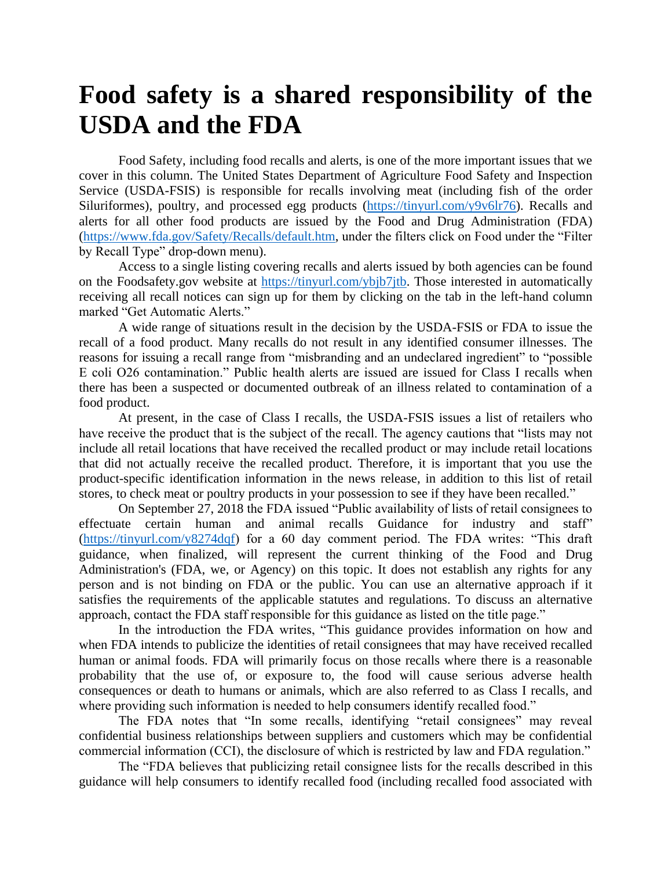## **Food safety is a shared responsibility of the USDA and the FDA**

Food Safety, including food recalls and alerts, is one of the more important issues that we cover in this column. The United States Department of Agriculture Food Safety and Inspection Service (USDA-FSIS) is responsible for recalls involving meat (including fish of the order Siluriformes), poultry, and processed egg products [\(https://tinyurl.com/y9v6lr76\)](https://tinyurl.com/y9v6lr76). Recalls and alerts for all other food products are issued by the Food and Drug Administration (FDA) [\(https://www.fda.gov/Safety/Recalls/default.htm,](https://www.fda.gov/Safety/Recalls/default.htm) under the filters click on Food under the "Filter by Recall Type" drop-down menu).

Access to a single listing covering recalls and alerts issued by both agencies can be found on the Foodsafety.gov website at [https://tinyurl.com/ybjb7jtb.](https://tinyurl.com/ybjb7jtb) Those interested in automatically receiving all recall notices can sign up for them by clicking on the tab in the left-hand column marked "Get Automatic Alerts."

A wide range of situations result in the decision by the USDA-FSIS or FDA to issue the recall of a food product. Many recalls do not result in any identified consumer illnesses. The reasons for issuing a recall range from "misbranding and an undeclared ingredient" to "possible E coli O26 contamination." Public health alerts are issued are issued for Class I recalls when there has been a suspected or documented outbreak of an illness related to contamination of a food product.

At present, in the case of Class I recalls, the USDA-FSIS issues a list of retailers who have receive the product that is the subject of the recall. The agency cautions that "lists may not include all retail locations that have received the recalled product or may include retail locations that did not actually receive the recalled product. Therefore, it is important that you use the product-specific identification information in the news release, in addition to this list of retail stores, to check meat or poultry products in your possession to see if they have been recalled."

On September 27, 2018 the FDA issued "Public availability of lists of retail consignees to effectuate certain human and animal recalls Guidance for industry and staff" [\(https://tinyurl.com/y8274dqf\)](https://tinyurl.com/y8274dqf) for a 60 day comment period. The FDA writes: "This draft guidance, when finalized, will represent the current thinking of the Food and Drug Administration's (FDA, we, or Agency) on this topic. It does not establish any rights for any person and is not binding on FDA or the public. You can use an alternative approach if it satisfies the requirements of the applicable statutes and regulations. To discuss an alternative approach, contact the FDA staff responsible for this guidance as listed on the title page."

In the introduction the FDA writes, "This guidance provides information on how and when FDA intends to publicize the identities of retail consignees that may have received recalled human or animal foods. FDA will primarily focus on those recalls where there is a reasonable probability that the use of, or exposure to, the food will cause serious adverse health consequences or death to humans or animals, which are also referred to as Class I recalls, and where providing such information is needed to help consumers identify recalled food."

The FDA notes that "In some recalls, identifying "retail consignees" may reveal confidential business relationships between suppliers and customers which may be confidential commercial information (CCI), the disclosure of which is restricted by law and FDA regulation."

The "FDA believes that publicizing retail consignee lists for the recalls described in this guidance will help consumers to identify recalled food (including recalled food associated with